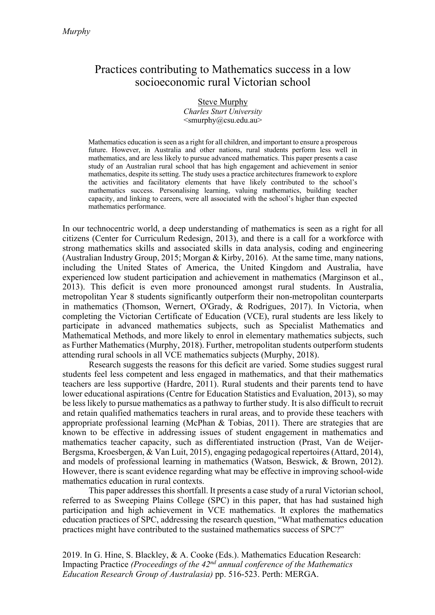# Practices contributing to Mathematics success in a low socioeconomic rural Victorian school

Steve Murphy *Charles Sturt University* <smurphy@csu.edu.au>

Mathematics education is seen as a right for all children, and important to ensure a prosperous future. However, in Australia and other nations, rural students perform less well in mathematics, and are less likely to pursue advanced mathematics. This paper presents a case study of an Australian rural school that has high engagement and achievement in senior mathematics, despite its setting. The study uses a practice architectures framework to explore the activities and facilitatory elements that have likely contributed to the school's mathematics success. Personalising learning, valuing mathematics, building teacher capacity, and linking to careers, were all associated with the school's higher than expected mathematics performance.

In our technocentric world, a deep understanding of mathematics is seen as a right for all citizens (Center for Curriculum Redesign, 2013), and there is a call for a workforce with strong mathematics skills and associated skills in data analysis, coding and engineering (Australian Industry Group, 2015; Morgan & Kirby, 2016). At the same time, many nations, including the United States of America, the United Kingdom and Australia, have experienced low student participation and achievement in mathematics (Marginson et al., 2013). This deficit is even more pronounced amongst rural students. In Australia, metropolitan Year 8 students significantly outperform their non-metropolitan counterparts in mathematics (Thomson, Wernert, O'Grady, & Rodrigues, 2017). In Victoria, when completing the Victorian Certificate of Education (VCE), rural students are less likely to participate in advanced mathematics subjects, such as Specialist Mathematics and Mathematical Methods, and more likely to enrol in elementary mathematics subjects, such as Further Mathematics (Murphy, 2018). Further, metropolitan students outperform students attending rural schools in all VCE mathematics subjects (Murphy, 2018).

Research suggests the reasons for this deficit are varied. Some studies suggest rural students feel less competent and less engaged in mathematics, and that their mathematics teachers are less supportive (Hardre, 2011). Rural students and their parents tend to have lower educational aspirations (Centre for Education Statistics and Evaluation, 2013), so may be less likely to pursue mathematics as a pathway to further study. It is also difficult to recruit and retain qualified mathematics teachers in rural areas, and to provide these teachers with appropriate professional learning (McPhan & Tobias, 2011). There are strategies that are known to be effective in addressing issues of student engagement in mathematics and mathematics teacher capacity, such as differentiated instruction (Prast, Van de Weijer-Bergsma, Kroesbergen, & Van Luit, 2015), engaging pedagogical repertoires (Attard, 2014), and models of professional learning in mathematics (Watson, Beswick, & Brown, 2012). However, there is scant evidence regarding what may be effective in improving school-wide mathematics education in rural contexts.

This paper addresses this shortfall. It presents a case study of a rural Victorian school, referred to as Sweeping Plains College (SPC) in this paper, that has had sustained high participation and high achievement in VCE mathematics. It explores the mathematics education practices of SPC, addressing the research question, "What mathematics education practices might have contributed to the sustained mathematics success of SPC?"

2019. In G. Hine, S. Blackley, & A. Cooke (Eds.). Mathematics Education Research: Impacting Practice *(Proceedings of the 42nd annual conference of the Mathematics Education Research Group of Australasia)* pp. 516-523. Perth: MERGA.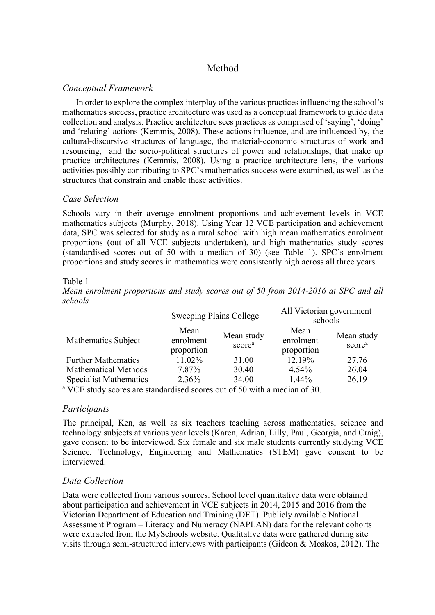## Method

### *Conceptual Framework*

In order to explore the complex interplay of the various practices influencing the school's mathematics success, practice architecture was used as a conceptual framework to guide data collection and analysis. Practice architecture sees practices as comprised of 'saying', 'doing' and 'relating' actions (Kemmis, 2008). These actions influence, and are influenced by, the cultural-discursive structures of language, the material-economic structures of work and resourcing, and the socio-political structures of power and relationships, that make up practice architectures (Kemmis, 2008). Using a practice architecture lens, the various activities possibly contributing to SPC's mathematics success were examined, as well as the structures that constrain and enable these activities.

### *Case Selection*

Schools vary in their average enrolment proportions and achievement levels in VCE mathematics subjects (Murphy, 2018). Using Year 12 VCE participation and achievement data, SPC was selected for study as a rural school with high mean mathematics enrolment proportions (out of all VCE subjects undertaken), and high mathematics study scores (standardised scores out of 50 with a median of 30) (see Table 1). SPC's enrolment proportions and study scores in mathematics were consistently high across all three years.

#### Table 1

*Mean enrolment proportions and study scores out of 50 from 2014-2016 at SPC and all schools*

|                               | Sweeping Plains College         |                                  | All Victorian government<br>schools |                                  |
|-------------------------------|---------------------------------|----------------------------------|-------------------------------------|----------------------------------|
| Mathematics Subject           | Mean<br>enrolment<br>proportion | Mean study<br>score <sup>a</sup> | Mean<br>enrolment<br>proportion     | Mean study<br>score <sup>a</sup> |
| <b>Further Mathematics</b>    | 11.02%                          | 31.00                            | 12.19%                              | 27.76                            |
| <b>Mathematical Methods</b>   | 7.87%                           | 30.40                            | $4.54\%$                            | 26.04                            |
| <b>Specialist Mathematics</b> | $2.36\%$                        | 34.00                            | $1.44\%$                            | 26.19                            |

<sup>a</sup> VCE study scores are standardised scores out of 50 with a median of 30.

### *Participants*

The principal, Ken, as well as six teachers teaching across mathematics, science and technology subjects at various year levels (Karen, Adrian, Lilly, Paul, Georgia, and Craig), gave consent to be interviewed. Six female and six male students currently studying VCE Science, Technology, Engineering and Mathematics (STEM) gave consent to be interviewed.

## *Data Collection*

Data were collected from various sources. School level quantitative data were obtained about participation and achievement in VCE subjects in 2014, 2015 and 2016 from the Victorian Department of Education and Training (DET). Publicly available National Assessment Program – Literacy and Numeracy (NAPLAN) data for the relevant cohorts were extracted from the MySchools website. Qualitative data were gathered during site visits through semi-structured interviews with participants (Gideon & Moskos, 2012). The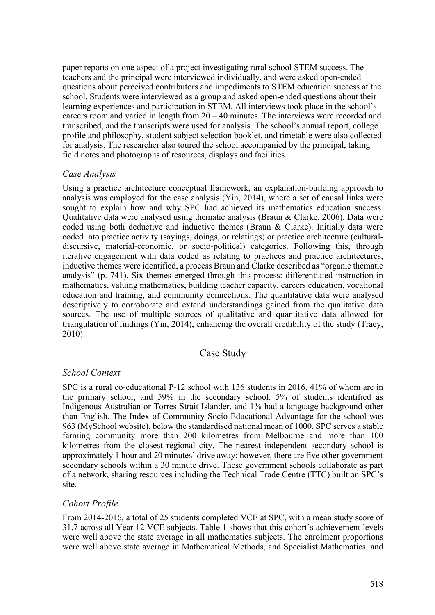paper reports on one aspect of a project investigating rural school STEM success. The teachers and the principal were interviewed individually, and were asked open-ended questions about perceived contributors and impediments to STEM education success at the school. Students were interviewed as a group and asked open-ended questions about their learning experiences and participation in STEM. All interviews took place in the school's careers room and varied in length from 20 – 40 minutes. The interviews were recorded and transcribed, and the transcripts were used for analysis. The school's annual report, college profile and philosophy, student subject selection booklet, and timetable were also collected for analysis. The researcher also toured the school accompanied by the principal, taking field notes and photographs of resources, displays and facilities.

### *Case Analysis*

Using a practice architecture conceptual framework, an explanation-building approach to analysis was employed for the case analysis (Yin, 2014), where a set of causal links were sought to explain how and why SPC had achieved its mathematics education success. Qualitative data were analysed using thematic analysis (Braun & Clarke, 2006). Data were coded using both deductive and inductive themes (Braun & Clarke). Initially data were coded into practice activity (sayings, doings, or relatings) or practice architecture (culturaldiscursive, material-economic, or socio-political) categories. Following this, through iterative engagement with data coded as relating to practices and practice architectures, inductive themes were identified, a process Braun and Clarke described as "organic thematic analysis" (p. 741). Six themes emerged through this process: differentiated instruction in mathematics, valuing mathematics, building teacher capacity, careers education, vocational education and training, and community connections. The quantitative data were analysed descriptively to corroborate and extend understandings gained from the qualitative data sources. The use of multiple sources of qualitative and quantitative data allowed for triangulation of findings (Yin, 2014), enhancing the overall credibility of the study (Tracy, 2010).

#### Case Study

#### *School Context*

SPC is a rural co-educational P-12 school with 136 students in 2016, 41% of whom are in the primary school, and 59% in the secondary school. 5% of students identified as Indigenous Australian or Torres Strait Islander, and 1% had a language background other than English. The Index of Community Socio-Educational Advantage for the school was 963 (MySchool website), below the standardised national mean of 1000. SPC serves a stable farming community more than 200 kilometres from Melbourne and more than 100 kilometres from the closest regional city. The nearest independent secondary school is approximately 1 hour and 20 minutes' drive away; however, there are five other government secondary schools within a 30 minute drive. These government schools collaborate as part of a network, sharing resources including the Technical Trade Centre (TTC) built on SPC's site.

### *Cohort Profile*

From 2014-2016, a total of 25 students completed VCE at SPC, with a mean study score of 31.7 across all Year 12 VCE subjects. Table 1 shows that this cohort's achievement levels were well above the state average in all mathematics subjects. The enrolment proportions were well above state average in Mathematical Methods, and Specialist Mathematics, and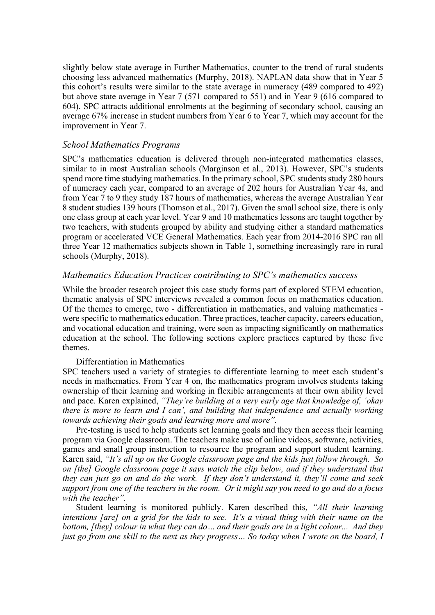slightly below state average in Further Mathematics, counter to the trend of rural students choosing less advanced mathematics (Murphy, 2018). NAPLAN data show that in Year 5 this cohort's results were similar to the state average in numeracy (489 compared to 492) but above state average in Year 7 (571 compared to 551) and in Year 9 (616 compared to 604). SPC attracts additional enrolments at the beginning of secondary school, causing an average 67% increase in student numbers from Year 6 to Year 7, which may account for the improvement in Year 7.

#### *School Mathematics Programs*

SPC's mathematics education is delivered through non-integrated mathematics classes, similar to in most Australian schools (Marginson et al., 2013). However, SPC's students spend more time studying mathematics. In the primary school, SPC students study 280 hours of numeracy each year, compared to an average of 202 hours for Australian Year 4s, and from Year 7 to 9 they study 187 hours of mathematics, whereas the average Australian Year 8 student studies 139 hours (Thomson et al., 2017). Given the small school size, there is only one class group at each year level. Year 9 and 10 mathematics lessons are taught together by two teachers, with students grouped by ability and studying either a standard mathematics program or accelerated VCE General Mathematics. Each year from 2014-2016 SPC ran all three Year 12 mathematics subjects shown in Table 1, something increasingly rare in rural schools (Murphy, 2018).

#### *Mathematics Education Practices contributing to SPC's mathematics success*

While the broader research project this case study forms part of explored STEM education, thematic analysis of SPC interviews revealed a common focus on mathematics education. Of the themes to emerge, two - differentiation in mathematics, and valuing mathematics were specific to mathematics education. Three practices, teacher capacity, careers education, and vocational education and training, were seen as impacting significantly on mathematics education at the school. The following sections explore practices captured by these five themes.

#### Differentiation in Mathematics

SPC teachers used a variety of strategies to differentiate learning to meet each student's needs in mathematics. From Year 4 on, the mathematics program involves students taking ownership of their learning and working in flexible arrangements at their own ability level and pace. Karen explained, *"They're building at a very early age that knowledge of, 'okay there is more to learn and I can', and building that independence and actually working towards achieving their goals and learning more and more".*

Pre-testing is used to help students set learning goals and they then access their learning program via Google classroom. The teachers make use of online videos, software, activities, games and small group instruction to resource the program and support student learning. Karen said, *"It's all up on the Google classroom page and the kids just follow through. So on [the] Google classroom page it says watch the clip below, and if they understand that they can just go on and do the work. If they don't understand it, they'll come and seek support from one of the teachers in the room. Or it might say you need to go and do a focus with the teacher".*

Student learning is monitored publicly. Karen described this, *"All their learning intentions [are] on a grid for the kids to see. It's a visual thing with their name on the bottom, [they] colour in what they can do… and their goals are in a light colour... And they just go from one skill to the next as they progress… So today when I wrote on the board, I*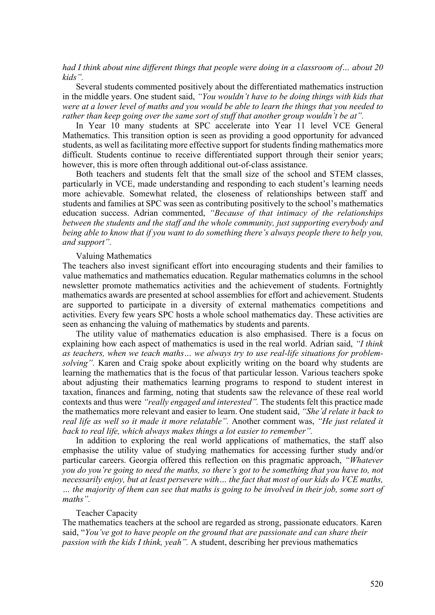*had I think about nine different things that people were doing in a classroom of… about 20 kids".* 

Several students commented positively about the differentiated mathematics instruction in the middle years. One student said, *"You wouldn't have to be doing things with kids that were at a lower level of maths and you would be able to learn the things that you needed to rather than keep going over the same sort of stuff that another group wouldn't be at".*

In Year 10 many students at SPC accelerate into Year 11 level VCE General Mathematics. This transition option is seen as providing a good opportunity for advanced students, as well as facilitating more effective support for students finding mathematics more difficult. Students continue to receive differentiated support through their senior years; however, this is more often through additional out-of-class assistance.

Both teachers and students felt that the small size of the school and STEM classes, particularly in VCE, made understanding and responding to each student's learning needs more achievable. Somewhat related, the closeness of relationships between staff and students and families at SPC was seen as contributing positively to the school's mathematics education success. Adrian commented, *"Because of that intimacy of the relationships between the students and the staff and the whole community, just supporting everybody and being able to know that if you want to do something there's always people there to help you, and support".*

#### Valuing Mathematics

The teachers also invest significant effort into encouraging students and their families to value mathematics and mathematics education. Regular mathematics columns in the school newsletter promote mathematics activities and the achievement of students. Fortnightly mathematics awards are presented at school assemblies for effort and achievement. Students are supported to participate in a diversity of external mathematics competitions and activities. Every few years SPC hosts a whole school mathematics day. These activities are seen as enhancing the valuing of mathematics by students and parents.

The utility value of mathematics education is also emphasised. There is a focus on explaining how each aspect of mathematics is used in the real world. Adrian said, *"I think as teachers, when we teach maths… we always try to use real-life situations for problemsolving".* Karen and Craig spoke about explicitly writing on the board why students are learning the mathematics that is the focus of that particular lesson. Various teachers spoke about adjusting their mathematics learning programs to respond to student interest in taxation, finances and farming, noting that students saw the relevance of these real world contexts and thus were *"really engaged and interested".* The students felt this practice made the mathematics more relevant and easier to learn. One student said, *"She'd relate it back to real life as well so it made it more relatable".* Another comment was, *"He just related it back to real life, which always makes things a lot easier to remember".*

In addition to exploring the real world applications of mathematics, the staff also emphasise the utility value of studying mathematics for accessing further study and/or particular careers. Georgia offered this reflection on this pragmatic approach, *"Whatever you do you're going to need the maths, so there's got to be something that you have to, not necessarily enjoy, but at least persevere with… the fact that most of our kids do VCE maths, … the majority of them can see that maths is going to be involved in their job, some sort of maths".*

#### Teacher Capacity

The mathematics teachers at the school are regarded as strong, passionate educators. Karen said, "*You've got to have people on the ground that are passionate and can share their passion with the kids I think, yeah".* A student, describing her previous mathematics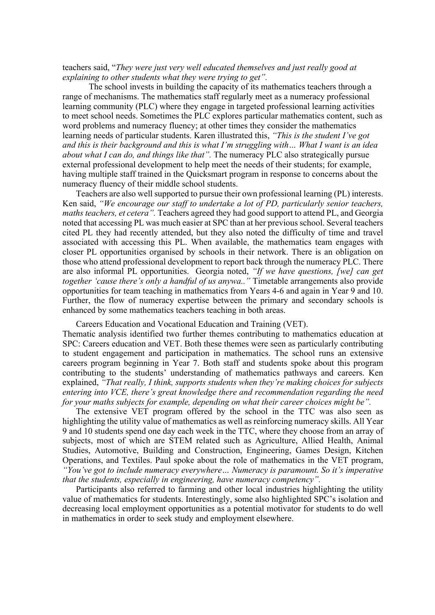teachers said, "*They were just very well educated themselves and just really good at explaining to other students what they were trying to get".*

The school invests in building the capacity of its mathematics teachers through a range of mechanisms. The mathematics staff regularly meet as a numeracy professional learning community (PLC) where they engage in targeted professional learning activities to meet school needs. Sometimes the PLC explores particular mathematics content, such as word problems and numeracy fluency; at other times they consider the mathematics learning needs of particular students. Karen illustrated this, *"This is the student I've got and this is their background and this is what I'm struggling with… What I want is an idea about what I can do, and things like that".* The numeracy PLC also strategically pursue external professional development to help meet the needs of their students; for example, having multiple staff trained in the Quicksmart program in response to concerns about the numeracy fluency of their middle school students.

Teachers are also well supported to pursue their own professional learning (PL) interests. Ken said, *"We encourage our staff to undertake a lot of PD, particularly senior teachers, maths teachers, et cetera".* Teachers agreed they had good support to attend PL, and Georgia noted that accessing PL was much easier at SPC than at her previous school. Several teachers cited PL they had recently attended, but they also noted the difficulty of time and travel associated with accessing this PL. When available, the mathematics team engages with closer PL opportunities organised by schools in their network. There is an obligation on those who attend professional development to report back through the numeracy PLC. There are also informal PL opportunities. Georgia noted, *"If we have questions, [we] can get together 'cause there's only a handful of us anywa.."* Timetable arrangements also provide opportunities for team teaching in mathematics from Years 4-6 and again in Year 9 and 10. Further, the flow of numeracy expertise between the primary and secondary schools is enhanced by some mathematics teachers teaching in both areas.

Careers Education and Vocational Education and Training (VET).

Thematic analysis identified two further themes contributing to mathematics education at SPC: Careers education and VET. Both these themes were seen as particularly contributing to student engagement and participation in mathematics. The school runs an extensive careers program beginning in Year 7. Both staff and students spoke about this program contributing to the students' understanding of mathematics pathways and careers. Ken explained, *"That really, I think, supports students when they're making choices for subjects entering into VCE, there's great knowledge there and recommendation regarding the need for your maths subjects for example, depending on what their career choices might be".*

The extensive VET program offered by the school in the TTC was also seen as highlighting the utility value of mathematics as well as reinforcing numeracy skills. All Year 9 and 10 students spend one day each week in the TTC, where they choose from an array of subjects, most of which are STEM related such as Agriculture, Allied Health, Animal Studies, Automotive, Building and Construction, Engineering, Games Design, Kitchen Operations, and Textiles. Paul spoke about the role of mathematics in the VET program, *"You've got to include numeracy everywhere… Numeracy is paramount. So it's imperative that the students, especially in engineering, have numeracy competency".*

Participants also referred to farming and other local industries highlighting the utility value of mathematics for students. Interestingly, some also highlighted SPC's isolation and decreasing local employment opportunities as a potential motivator for students to do well in mathematics in order to seek study and employment elsewhere.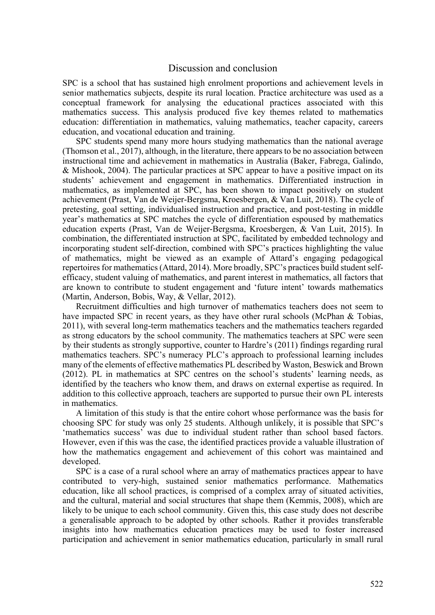### Discussion and conclusion

SPC is a school that has sustained high enrolment proportions and achievement levels in senior mathematics subjects, despite its rural location. Practice architecture was used as a conceptual framework for analysing the educational practices associated with this mathematics success. This analysis produced five key themes related to mathematics education: differentiation in mathematics, valuing mathematics, teacher capacity, careers education, and vocational education and training.

SPC students spend many more hours studying mathematics than the national average (Thomson et al., 2017), although, in the literature, there appears to be no association between instructional time and achievement in mathematics in Australia (Baker, Fabrega, Galindo, & Mishook, 2004). The particular practices at SPC appear to have a positive impact on its students' achievement and engagement in mathematics. Differentiated instruction in mathematics, as implemented at SPC, has been shown to impact positively on student achievement (Prast, Van de Weijer-Bergsma, Kroesbergen, & Van Luit, 2018). The cycle of pretesting, goal setting, individualised instruction and practice, and post-testing in middle year's mathematics at SPC matches the cycle of differentiation espoused by mathematics education experts (Prast, Van de Weijer-Bergsma, Kroesbergen, & Van Luit, 2015). In combination, the differentiated instruction at SPC, facilitated by embedded technology and incorporating student self-direction, combined with SPC's practices highlighting the value of mathematics, might be viewed as an example of Attard's engaging pedagogical repertoires for mathematics (Attard, 2014). More broadly, SPC's practices build student selfefficacy, student valuing of mathematics, and parent interest in mathematics, all factors that are known to contribute to student engagement and 'future intent' towards mathematics (Martin, Anderson, Bobis, Way, & Vellar, 2012).

Recruitment difficulties and high turnover of mathematics teachers does not seem to have impacted SPC in recent years, as they have other rural schools (McPhan & Tobias, 2011), with several long-term mathematics teachers and the mathematics teachers regarded as strong educators by the school community. The mathematics teachers at SPC were seen by their students as strongly supportive, counter to Hardre's (2011) findings regarding rural mathematics teachers. SPC's numeracy PLC's approach to professional learning includes many of the elements of effective mathematics PL described by Waston, Beswick and Brown (2012). PL in mathematics at SPC centres on the school's students' learning needs, as identified by the teachers who know them, and draws on external expertise as required. In addition to this collective approach, teachers are supported to pursue their own PL interests in mathematics.

A limitation of this study is that the entire cohort whose performance was the basis for choosing SPC for study was only 25 students. Although unlikely, it is possible that SPC's 'mathematics success' was due to individual student rather than school based factors. However, even if this was the case, the identified practices provide a valuable illustration of how the mathematics engagement and achievement of this cohort was maintained and developed.

SPC is a case of a rural school where an array of mathematics practices appear to have contributed to very-high, sustained senior mathematics performance. Mathematics education, like all school practices, is comprised of a complex array of situated activities, and the cultural, material and social structures that shape them (Kemmis, 2008), which are likely to be unique to each school community. Given this, this case study does not describe a generalisable approach to be adopted by other schools. Rather it provides transferable insights into how mathematics education practices may be used to foster increased participation and achievement in senior mathematics education, particularly in small rural